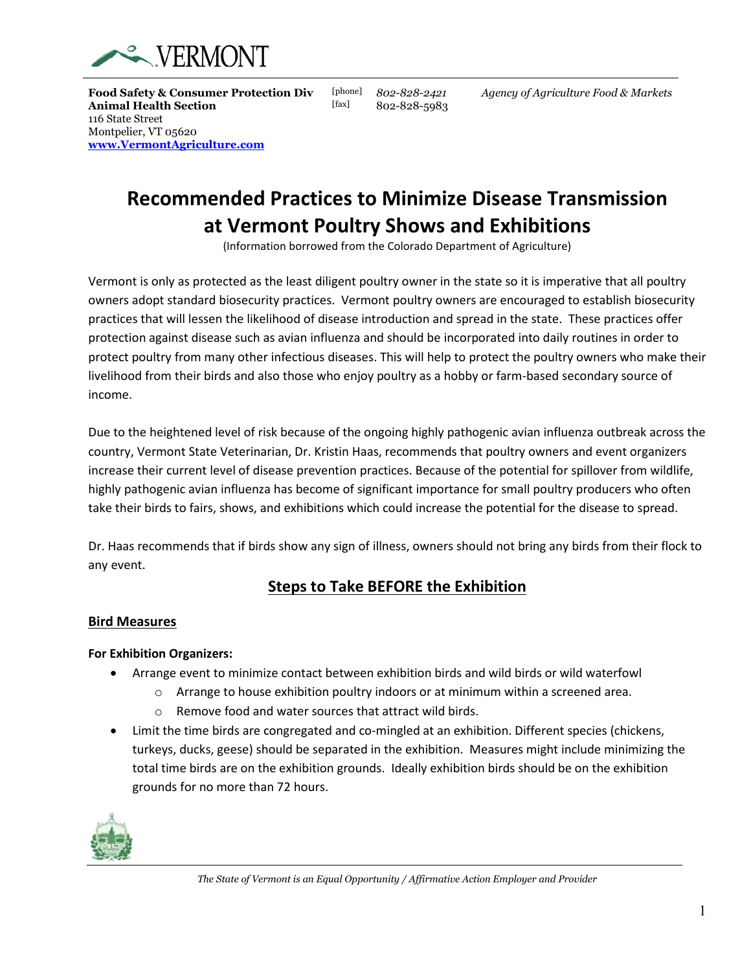

**Food Safety & Consumer Protection Div** [phone] *802-828-2421 Agency of Agriculture Food & Markets* **Animal Health Section** [fax] 802-828-5983 116 State Street Montpelier, VT 05620 **[www.VermontAgriculture.com](http://www.vermontagriculture.com/)**

# **Recommended Practices to Minimize Disease Transmission at Vermont Poultry Shows and Exhibitions**

(Information borrowed from the Colorado Department of Agriculture)

Vermont is only as protected as the least diligent poultry owner in the state so it is imperative that all poultry owners adopt standard biosecurity practices. Vermont poultry owners are encouraged to establish biosecurity practices that will lessen the likelihood of disease introduction and spread in the state. These practices offer protection against disease such as avian influenza and should be incorporated into daily routines in order to protect poultry from many other infectious diseases. This will help to protect the poultry owners who make their livelihood from their birds and also those who enjoy poultry as a hobby or farm-based secondary source of income.

Due to the heightened level of risk because of the ongoing highly pathogenic avian influenza outbreak across the country, Vermont State Veterinarian, Dr. Kristin Haas, recommends that poultry owners and event organizers increase their current level of disease prevention practices. Because of the potential for spillover from wildlife, highly pathogenic avian influenza has become of significant importance for small poultry producers who often take their birds to fairs, shows, and exhibitions which could increase the potential for the disease to spread.

Dr. Haas recommends that if birds show any sign of illness, owners should not bring any birds from their flock to any event.

# **Steps to Take BEFORE the Exhibition**

## **Bird Measures**

## **For Exhibition Organizers:**

- Arrange event to minimize contact between exhibition birds and wild birds or wild waterfowl
	- $\circ$  Arrange to house exhibition poultry indoors or at minimum within a screened area.
	- o Remove food and water sources that attract wild birds.
- Limit the time birds are congregated and co-mingled at an exhibition. Different species (chickens, turkeys, ducks, geese) should be separated in the exhibition. Measures might include minimizing the total time birds are on the exhibition grounds. Ideally exhibition birds should be on the exhibition grounds for no more than 72 hours.

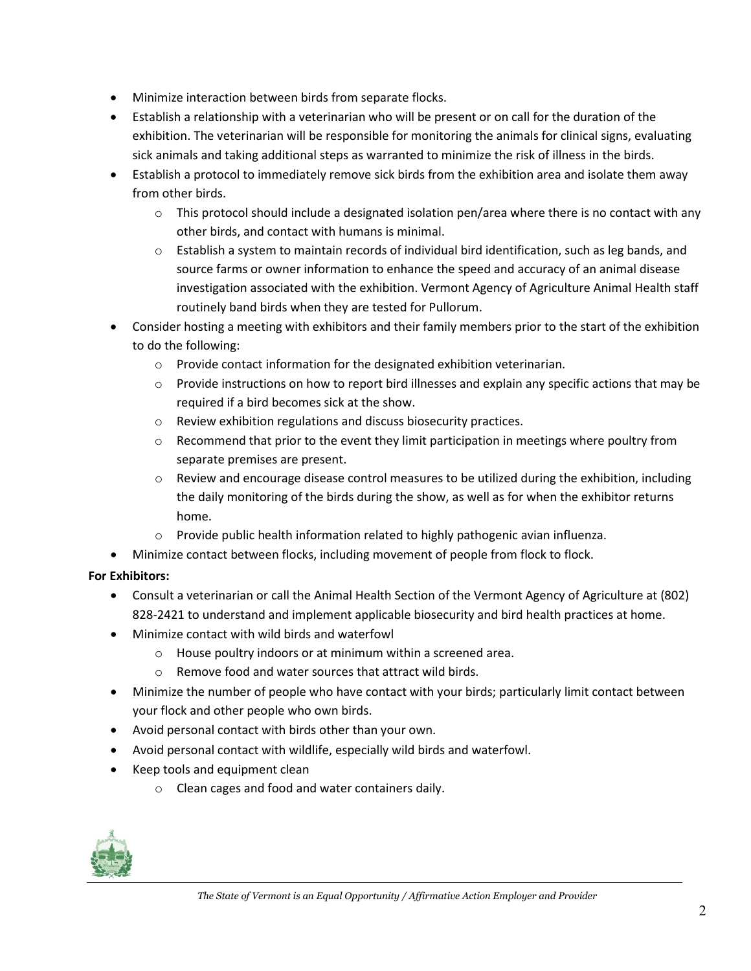- Minimize interaction between birds from separate flocks.
- Establish a relationship with a veterinarian who will be present or on call for the duration of the exhibition. The veterinarian will be responsible for monitoring the animals for clinical signs, evaluating sick animals and taking additional steps as warranted to minimize the risk of illness in the birds.
- Establish a protocol to immediately remove sick birds from the exhibition area and isolate them away from other birds.
	- $\circ$  This protocol should include a designated isolation pen/area where there is no contact with any other birds, and contact with humans is minimal.
	- $\circ$  Establish a system to maintain records of individual bird identification, such as leg bands, and source farms or owner information to enhance the speed and accuracy of an animal disease investigation associated with the exhibition. Vermont Agency of Agriculture Animal Health staff routinely band birds when they are tested for Pullorum.
- Consider hosting a meeting with exhibitors and their family members prior to the start of the exhibition to do the following:
	- o Provide contact information for the designated exhibition veterinarian.
	- $\circ$  Provide instructions on how to report bird illnesses and explain any specific actions that may be required if a bird becomes sick at the show.
	- o Review exhibition regulations and discuss biosecurity practices.
	- $\circ$  Recommend that prior to the event they limit participation in meetings where poultry from separate premises are present.
	- $\circ$  Review and encourage disease control measures to be utilized during the exhibition, including the daily monitoring of the birds during the show, as well as for when the exhibitor returns home.
	- o Provide public health information related to highly pathogenic avian influenza.
- Minimize contact between flocks, including movement of people from flock to flock.

# **For Exhibitors:**

- Consult a veterinarian or call the Animal Health Section of the Vermont Agency of Agriculture at (802) 828-2421 to understand and implement applicable biosecurity and bird health practices at home.
- Minimize contact with wild birds and waterfowl
	- o House poultry indoors or at minimum within a screened area.
	- o Remove food and water sources that attract wild birds.
- Minimize the number of people who have contact with your birds; particularly limit contact between your flock and other people who own birds.
- Avoid personal contact with birds other than your own.
- Avoid personal contact with wildlife, especially wild birds and waterfowl.
- Keep tools and equipment clean
	- o Clean cages and food and water containers daily.

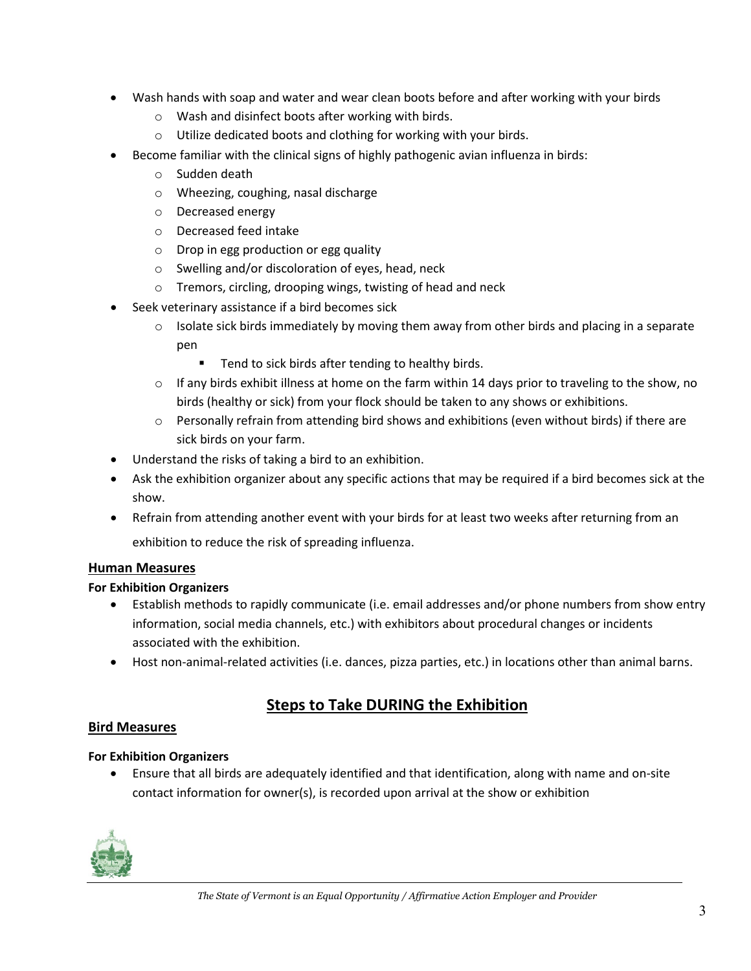- Wash hands with soap and water and wear clean boots before and after working with your birds
	- o Wash and disinfect boots after working with birds.
	- o Utilize dedicated boots and clothing for working with your birds.
- Become familiar with the clinical signs of highly pathogenic avian influenza in birds:
	- o Sudden death
	- o Wheezing, coughing, nasal discharge
	- o Decreased energy
	- o Decreased feed intake
	- o Drop in egg production or egg quality
	- o Swelling and/or discoloration of eyes, head, neck
	- o Tremors, circling, drooping wings, twisting of head and neck
- Seek veterinary assistance if a bird becomes sick
	- o Isolate sick birds immediately by moving them away from other birds and placing in a separate pen
		- **Tend to sick birds after tending to healthy birds.**
	- $\circ$  If any birds exhibit illness at home on the farm within 14 days prior to traveling to the show, no birds (healthy or sick) from your flock should be taken to any shows or exhibitions.
	- $\circ$  Personally refrain from attending bird shows and exhibitions (even without birds) if there are sick birds on your farm.
- Understand the risks of taking a bird to an exhibition.
- Ask the exhibition organizer about any specific actions that may be required if a bird becomes sick at the show.
- Refrain from attending another event with your birds for at least two weeks after returning from an exhibition to reduce the risk of spreading influenza.

## **Human Measures**

## **For Exhibition Organizers**

- Establish methods to rapidly communicate (i.e. email addresses and/or phone numbers from show entry information, social media channels, etc.) with exhibitors about procedural changes or incidents associated with the exhibition.
- Host non-animal-related activities (i.e. dances, pizza parties, etc.) in locations other than animal barns.

# **Steps to Take DURING the Exhibition**

## **Bird Measures**

## **For Exhibition Organizers**

• Ensure that all birds are adequately identified and that identification, along with name and on-site contact information for owner(s), is recorded upon arrival at the show or exhibition

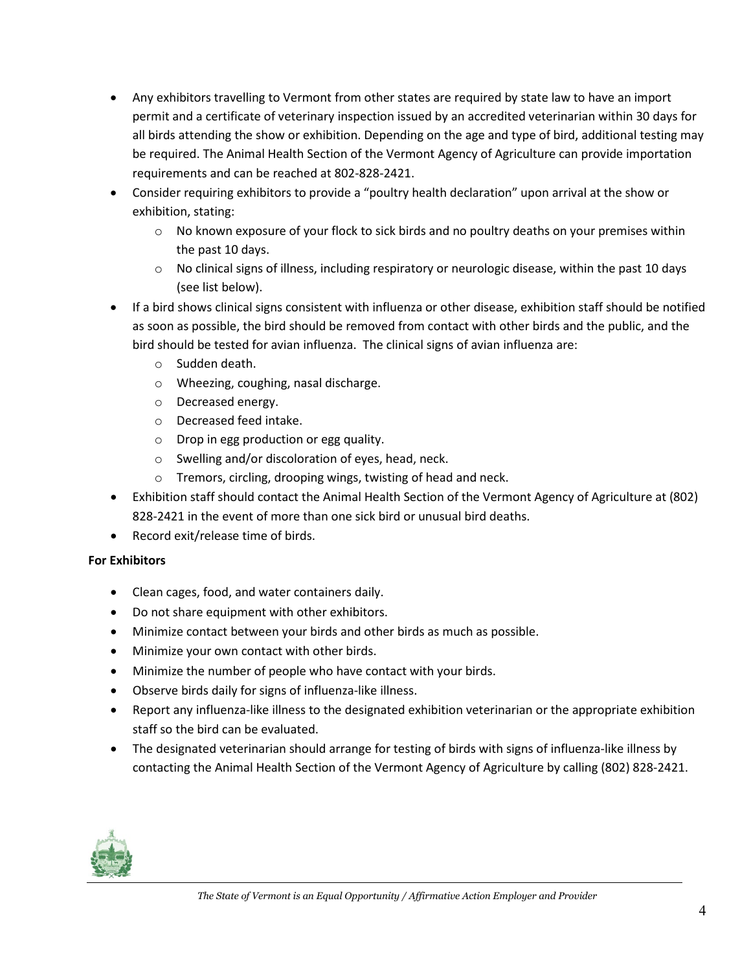- Any exhibitors travelling to Vermont from other states are required by state law to have an import permit and a certificate of veterinary inspection issued by an accredited veterinarian within 30 days for all birds attending the show or exhibition. Depending on the age and type of bird, additional testing may be required. The Animal Health Section of the Vermont Agency of Agriculture can provide importation requirements and can be reached at 802-828-2421.
- Consider requiring exhibitors to provide a "poultry health declaration" upon arrival at the show or exhibition, stating:
	- $\circ$  No known exposure of your flock to sick birds and no poultry deaths on your premises within the past 10 days.
	- $\circ$  No clinical signs of illness, including respiratory or neurologic disease, within the past 10 days (see list below).
- If a bird shows clinical signs consistent with influenza or other disease, exhibition staff should be notified as soon as possible, the bird should be removed from contact with other birds and the public, and the bird should be tested for avian influenza. The clinical signs of avian influenza are:
	- o Sudden death.
	- o Wheezing, coughing, nasal discharge.
	- o Decreased energy.
	- o Decreased feed intake.
	- o Drop in egg production or egg quality.
	- o Swelling and/or discoloration of eyes, head, neck.
	- o Tremors, circling, drooping wings, twisting of head and neck.
- Exhibition staff should contact the Animal Health Section of the Vermont Agency of Agriculture at (802) 828-2421 in the event of more than one sick bird or unusual bird deaths.
- Record exit/release time of birds.

## **For Exhibitors**

- Clean cages, food, and water containers daily.
- Do not share equipment with other exhibitors.
- Minimize contact between your birds and other birds as much as possible.
- Minimize your own contact with other birds.
- Minimize the number of people who have contact with your birds.
- Observe birds daily for signs of influenza-like illness.
- Report any influenza-like illness to the designated exhibition veterinarian or the appropriate exhibition staff so the bird can be evaluated.
- The designated veterinarian should arrange for testing of birds with signs of influenza-like illness by contacting the Animal Health Section of the Vermont Agency of Agriculture by calling (802) 828-2421.